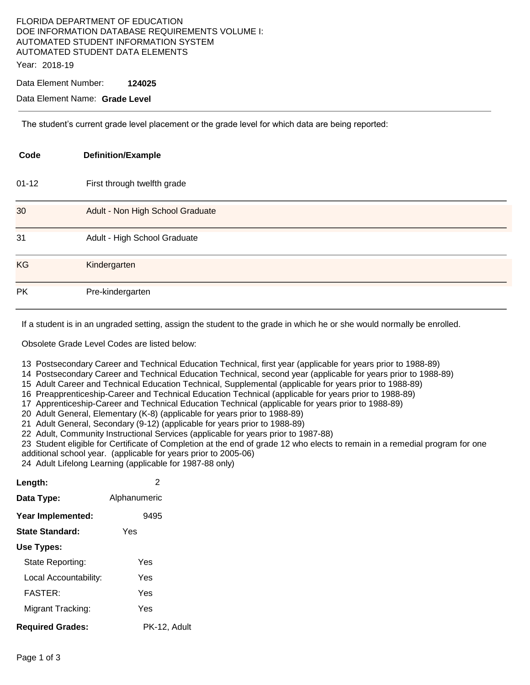### FLORIDA DEPARTMENT OF EDUCATION DOE INFORMATION DATABASE REQUIREMENTS VOLUME I: AUTOMATED STUDENT INFORMATION SYSTEM AUTOMATED STUDENT DATA ELEMENTS Year: 2018-19

Data Element Number: **124025** 

Data Element Name: **Grade Level** 

The student's current grade level placement or the grade level for which data are being reported:

| Code      | <b>Definition/Example</b>        |
|-----------|----------------------------------|
| $01 - 12$ | First through twelfth grade      |
| 30        | Adult - Non High School Graduate |
| 31        | Adult - High School Graduate     |
| <b>KG</b> | Kindergarten                     |
| <b>PK</b> | Pre-kindergarten                 |

If a student is in an ungraded setting, assign the student to the grade in which he or she would normally be enrolled.

Obsolete Grade Level Codes are listed below:

13 Postsecondary Career and Technical Education Technical, first year (applicable for years prior to 1988-89)

14 Postsecondary Career and Technical Education Technical, second year (applicable for years prior to 1988-89)

15 Adult Career and Technical Education Technical, Supplemental (applicable for years prior to 1988-89)

16 Preapprenticeship-Career and Technical Education Technical (applicable for years prior to 1988-89)

17 Apprenticeship-Career and Technical Education Technical (applicable for years prior to 1988-89)

20 Adult General, Elementary (K-8) (applicable for years prior to 1988-89)

21 Adult General, Secondary (9-12) (applicable for years prior to 1988-89)

22 Adult, Community Instructional Services (applicable for years prior to 1987-88)

23 Student eligible for Certificate of Completion at the end of grade 12 who elects to remain in a remedial program for one additional school year. (applicable for years prior to 2005-06)

24 Adult Lifelong Learning (applicable for 1987-88 only)

| Length:                 | 2            |
|-------------------------|--------------|
| Data Type:              | Alphanumeric |
| Year Implemented:       | 9495         |
| State Standard:         | Yes          |
| Use Types:              |              |
| State Reporting:        | Yes          |
| Local Accountability:   | Yes          |
| <b>FASTER:</b>          | Yes          |
| Migrant Tracking:       | Yes          |
| <b>Required Grades:</b> | PK-12, Adult |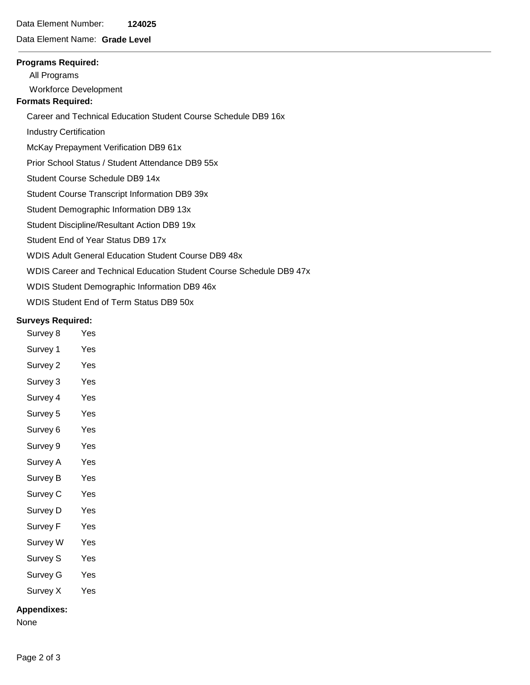## Data Element Number: **124025**

## Data Element Name: **Grade Level**

#### **Programs Required:**

All Programs

Workforce Development

# **Formats Required:**

Career and Technical Education Student Course Schedule DB9 16x

Industry Certification

McKay Prepayment Verification DB9 61x

Prior School Status / Student Attendance DB9 55x

Student Course Schedule DB9 14x

Student Course Transcript Information DB9 39x

Student Demographic Information DB9 13x

Student Discipline/Resultant Action DB9 19x

Student End of Year Status DB9 17x

WDIS Adult General Education Student Course DB9 48x

WDIS Career and Technical Education Student Course Schedule DB9 47x

WDIS Student Demographic Information DB9 46x

WDIS Student End of Term Status DB9 50x

### **Surveys Required:**

- Survey 8 Yes
- Survey 1 Yes
- Survey 2 Yes
- Survey 3 Yes
- Survey 4 Yes
- Survey 5 Yes
- Survey 6 Yes
- Survey 9 Yes
- Survey A Yes
- Survey B Yes
- Survey C Yes
- Survey D Yes
- Survey F Yes
- Survey W Yes
- Survey S Yes
- Survey G Yes
- Survey X Yes

#### **Appendixes:**

None